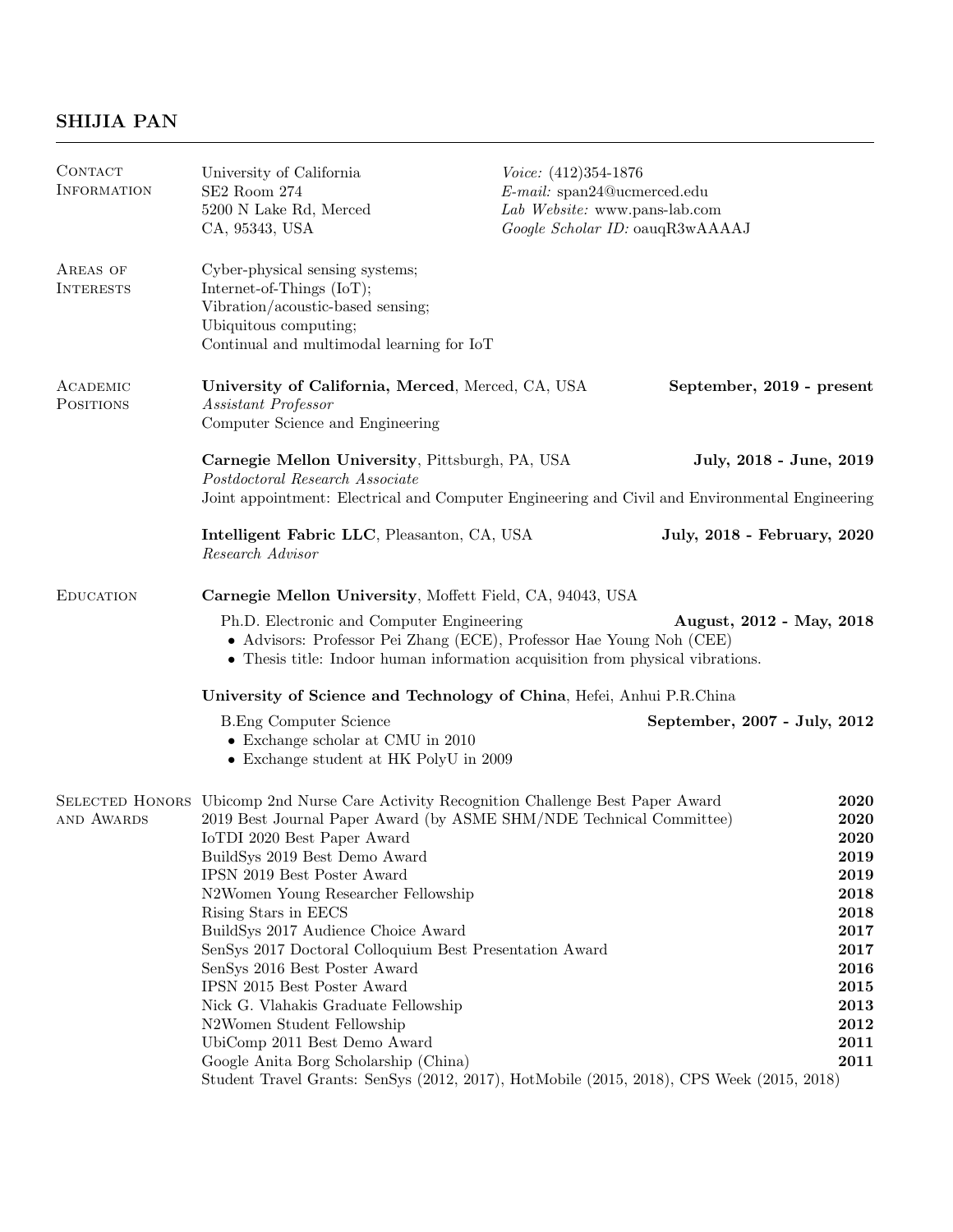# SHIJIA PAN

| CONTACT<br><b>INFORMATION</b>                                         | University of California<br>SE2 Room 274<br>5200 N Lake Rd, Merced<br>CA, 95343, USA                                                                                                                                                                                                                                                                                                                                                                                                                                                                                                                                                                                                                                                      | $Voice: (412)354-1876$<br>$E$ -mail: span24@ucmerced.edu<br>Lab Website: www.pans-lab.com<br>Google Scholar ID: oauqR3wAAAAJ |                                                                                                                      |
|-----------------------------------------------------------------------|-------------------------------------------------------------------------------------------------------------------------------------------------------------------------------------------------------------------------------------------------------------------------------------------------------------------------------------------------------------------------------------------------------------------------------------------------------------------------------------------------------------------------------------------------------------------------------------------------------------------------------------------------------------------------------------------------------------------------------------------|------------------------------------------------------------------------------------------------------------------------------|----------------------------------------------------------------------------------------------------------------------|
| AREAS OF<br><b>INTERESTS</b>                                          | Cyber-physical sensing systems;<br>Internet-of-Things (IoT);<br>Vibration/acoustic-based sensing;<br>Ubiquitous computing;<br>Continual and multimodal learning for IoT                                                                                                                                                                                                                                                                                                                                                                                                                                                                                                                                                                   |                                                                                                                              |                                                                                                                      |
| ACADEMIC<br><b>POSITIONS</b>                                          | University of California, Merced, Merced, CA, USA<br>Assistant Professor<br>Computer Science and Engineering                                                                                                                                                                                                                                                                                                                                                                                                                                                                                                                                                                                                                              |                                                                                                                              | September, 2019 - present                                                                                            |
|                                                                       | Carnegie Mellon University, Pittsburgh, PA, USA<br>Postdoctoral Research Associate                                                                                                                                                                                                                                                                                                                                                                                                                                                                                                                                                                                                                                                        |                                                                                                                              | July, 2018 - June, 2019                                                                                              |
|                                                                       | Joint appointment: Electrical and Computer Engineering and Civil and Environmental Engineering                                                                                                                                                                                                                                                                                                                                                                                                                                                                                                                                                                                                                                            |                                                                                                                              |                                                                                                                      |
|                                                                       | Intelligent Fabric LLC, Pleasanton, CA, USA<br>Research Advisor                                                                                                                                                                                                                                                                                                                                                                                                                                                                                                                                                                                                                                                                           |                                                                                                                              | July, 2018 - February, 2020                                                                                          |
| <b>EDUCATION</b>                                                      | Carnegie Mellon University, Moffett Field, CA, 94043, USA                                                                                                                                                                                                                                                                                                                                                                                                                                                                                                                                                                                                                                                                                 |                                                                                                                              |                                                                                                                      |
|                                                                       | Ph.D. Electronic and Computer Engineering<br>August, 2012 - May, 2018<br>• Advisors: Professor Pei Zhang (ECE), Professor Hae Young Noh (CEE)<br>• Thesis title: Indoor human information acquisition from physical vibrations.                                                                                                                                                                                                                                                                                                                                                                                                                                                                                                           |                                                                                                                              |                                                                                                                      |
| University of Science and Technology of China, Hefei, Anhui P.R.China |                                                                                                                                                                                                                                                                                                                                                                                                                                                                                                                                                                                                                                                                                                                                           |                                                                                                                              |                                                                                                                      |
|                                                                       | <b>B.</b> Eng Computer Science<br>$\bullet$ Exchange scholar at CMU in 2010<br>• Exchange student at HK PolyU in 2009                                                                                                                                                                                                                                                                                                                                                                                                                                                                                                                                                                                                                     |                                                                                                                              | September, 2007 - July, 2012                                                                                         |
| AND AWARDS                                                            | SELECTED HONORS Ubicomp 2nd Nurse Care Activity Recognition Challenge Best Paper Award<br>2019 Best Journal Paper Award (by ASME SHM/NDE Technical Committee)<br>IoTDI 2020 Best Paper Award<br>BuildSys 2019 Best Demo Award<br>IPSN 2019 Best Poster Award<br>N2Women Young Researcher Fellowship<br>Rising Stars in EECS<br>BuildSys 2017 Audience Choice Award<br>SenSys 2017 Doctoral Colloquium Best Presentation Award<br>SenSys 2016 Best Poster Award<br>IPSN 2015 Best Poster Award<br>Nick G. Vlahakis Graduate Fellowship<br>N2Women Student Fellowship<br>UbiComp 2011 Best Demo Award<br>Google Anita Borg Scholarship (China)<br>Student Travel Grants: SenSys (2012, 2017), HotMobile (2015, 2018), CPS Week (2015, 2018) |                                                                                                                              | 2020<br>2020<br>2020<br>2019<br>2019<br>2018<br>2018<br>2017<br>2017<br>2016<br>2015<br>2013<br>2012<br>2011<br>2011 |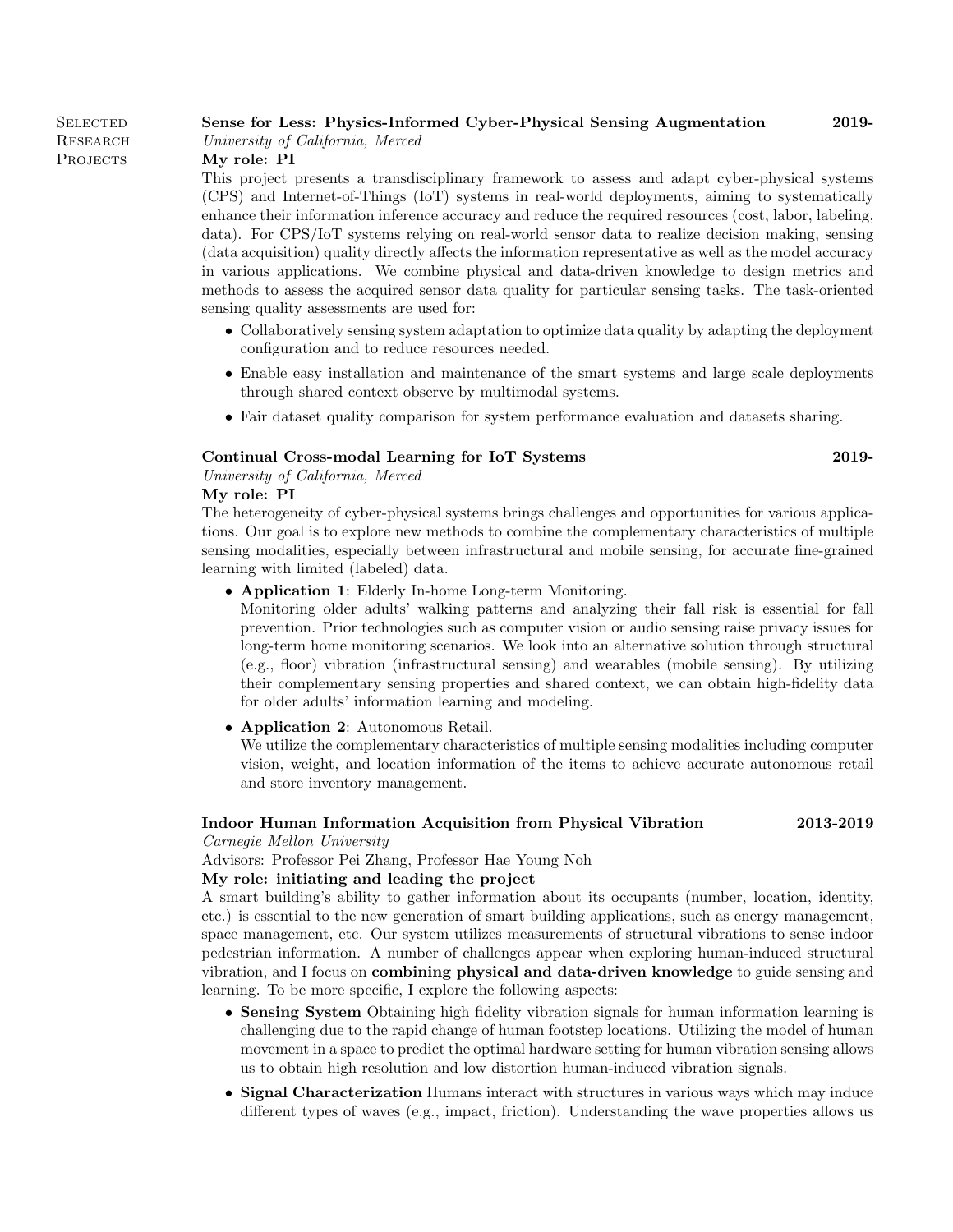**SELECTED RESEARCH** PROJECTS

### Sense for Less: Physics-Informed Cyber-Physical Sensing Augmentation 2019-

University of California, Merced

My role: PI

This project presents a transdisciplinary framework to assess and adapt cyber-physical systems (CPS) and Internet-of-Things (IoT) systems in real-world deployments, aiming to systematically enhance their information inference accuracy and reduce the required resources (cost, labor, labeling, data). For CPS/IoT systems relying on real-world sensor data to realize decision making, sensing (data acquisition) quality directly affects the information representative as well as the model accuracy in various applications. We combine physical and data-driven knowledge to design metrics and methods to assess the acquired sensor data quality for particular sensing tasks. The task-oriented sensing quality assessments are used for:

- Collaboratively sensing system adaptation to optimize data quality by adapting the deployment configuration and to reduce resources needed.
- Enable easy installation and maintenance of the smart systems and large scale deployments through shared context observe by multimodal systems.
- Fair dataset quality comparison for system performance evaluation and datasets sharing.

#### Continual Cross-modal Learning for IoT Systems 2019-

University of California, Merced

#### My role: PI

The heterogeneity of cyber-physical systems brings challenges and opportunities for various applications. Our goal is to explore new methods to combine the complementary characteristics of multiple sensing modalities, especially between infrastructural and mobile sensing, for accurate fine-grained learning with limited (labeled) data.

• Application 1: Elderly In-home Long-term Monitoring.

Monitoring older adults' walking patterns and analyzing their fall risk is essential for fall prevention. Prior technologies such as computer vision or audio sensing raise privacy issues for long-term home monitoring scenarios. We look into an alternative solution through structural (e.g., floor) vibration (infrastructural sensing) and wearables (mobile sensing). By utilizing their complementary sensing properties and shared context, we can obtain high-fidelity data for older adults' information learning and modeling.

• Application 2: Autonomous Retail.

We utilize the complementary characteristics of multiple sensing modalities including computer vision, weight, and location information of the items to achieve accurate autonomous retail and store inventory management.

#### Indoor Human Information Acquisition from Physical Vibration 2013-2019 Carnegie Mellon University

Advisors: Professor Pei Zhang, Professor Hae Young Noh

#### My role: initiating and leading the project

A smart building's ability to gather information about its occupants (number, location, identity, etc.) is essential to the new generation of smart building applications, such as energy management, space management, etc. Our system utilizes measurements of structural vibrations to sense indoor pedestrian information. A number of challenges appear when exploring human-induced structural vibration, and I focus on combining physical and data-driven knowledge to guide sensing and learning. To be more specific, I explore the following aspects:

- Sensing System Obtaining high fidelity vibration signals for human information learning is challenging due to the rapid change of human footstep locations. Utilizing the model of human movement in a space to predict the optimal hardware setting for human vibration sensing allows us to obtain high resolution and low distortion human-induced vibration signals.
- Signal Characterization Humans interact with structures in various ways which may induce different types of waves (e.g., impact, friction). Understanding the wave properties allows us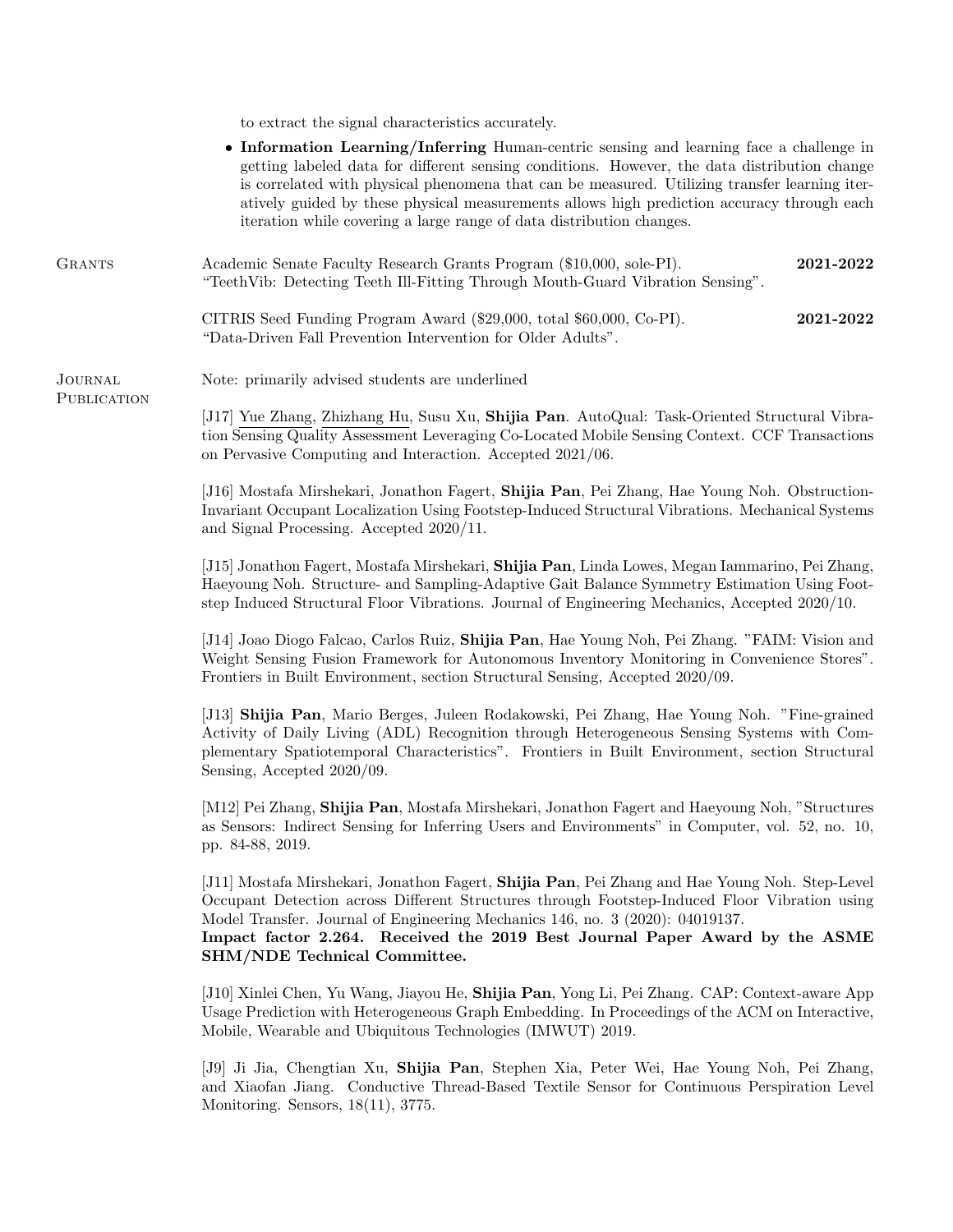to extract the signal characteristics accurately.

|                               | • Information Learning/Inferring Human-centric sensing and learning face a challenge in<br>getting labeled data for different sensing conditions. However, the data distribution change<br>is correlated with physical phenomena that can be measured. Utilizing transfer learning iter-<br>atively guided by these physical measurements allows high prediction accuracy through each<br>iteration while covering a large range of data distribution changes. |  |  |
|-------------------------------|----------------------------------------------------------------------------------------------------------------------------------------------------------------------------------------------------------------------------------------------------------------------------------------------------------------------------------------------------------------------------------------------------------------------------------------------------------------|--|--|
| <b>GRANTS</b>                 | Academic Senate Faculty Research Grants Program (\$10,000, sole-PI).<br>2021-2022<br>"TeethVib: Detecting Teeth Ill-Fitting Through Mouth-Guard Vibration Sensing".                                                                                                                                                                                                                                                                                            |  |  |
|                               | CITRIS Seed Funding Program Award (\$29,000, total \$60,000, Co-PI).<br>2021-2022<br>"Data-Driven Fall Prevention Intervention for Older Adults".                                                                                                                                                                                                                                                                                                              |  |  |
| <b>JOURNAL</b><br>PUBLICATION | Note: primarily advised students are underlined                                                                                                                                                                                                                                                                                                                                                                                                                |  |  |
|                               | [J17] Yue Zhang, Zhizhang Hu, Susu Xu, Shijia Pan. AutoQual: Task-Oriented Structural Vibra-<br>tion Sensing Quality Assessment Leveraging Co-Located Mobile Sensing Context. CCF Transactions<br>on Pervasive Computing and Interaction. Accepted 2021/06.                                                                                                                                                                                                    |  |  |
|                               | [J16] Mostafa Mirshekari, Jonathon Fagert, Shijia Pan, Pei Zhang, Hae Young Noh. Obstruction-<br>Invariant Occupant Localization Using Footstep-Induced Structural Vibrations. Mechanical Systems<br>and Signal Processing. Accepted 2020/11.                                                                                                                                                                                                                  |  |  |
|                               | [J15] Jonathon Fagert, Mostafa Mirshekari, Shijia Pan, Linda Lowes, Megan Iammarino, Pei Zhang,<br>Haeyoung Noh. Structure- and Sampling-Adaptive Gait Balance Symmetry Estimation Using Foot-<br>step Induced Structural Floor Vibrations. Journal of Engineering Mechanics, Accepted 2020/10.                                                                                                                                                                |  |  |
|                               | [J14] Joao Diogo Falcao, Carlos Ruiz, Shijia Pan, Hae Young Noh, Pei Zhang. "FAIM: Vision and<br>Weight Sensing Fusion Framework for Autonomous Inventory Monitoring in Convenience Stores".<br>Frontiers in Built Environment, section Structural Sensing, Accepted 2020/09.                                                                                                                                                                                  |  |  |
|                               | [J13] Shijia Pan, Mario Berges, Juleen Rodakowski, Pei Zhang, Hae Young Noh. "Fine-grained"<br>Activity of Daily Living (ADL) Recognition through Heterogeneous Sensing Systems with Com-<br>plementary Spatiotemporal Characteristics". Frontiers in Built Environment, section Structural<br>Sensing, Accepted 2020/09.                                                                                                                                      |  |  |
|                               | [M12] Pei Zhang, Shijia Pan, Mostafa Mirshekari, Jonathon Fagert and Haeyoung Noh, "Structures"<br>as Sensors: Indirect Sensing for Inferring Users and Environments" in Computer, vol. 52, no. 10,<br>pp. 84-88, 2019.                                                                                                                                                                                                                                        |  |  |
|                               | [J11] Mostafa Mirshekari, Jonathon Fagert, Shijia Pan, Pei Zhang and Hae Young Noh. Step-Level<br>Occupant Detection across Different Structures through Footstep-Induced Floor Vibration using<br>Model Transfer. Journal of Engineering Mechanics 146, no. 3 (2020): 04019137.<br>Impact factor 2.264. Received the 2019 Best Journal Paper Award by the ASME<br>SHM/NDE Technical Committee.                                                                |  |  |
|                               | [J10] Xinlei Chen, Yu Wang, Jiayou He, Shijia Pan, Yong Li, Pei Zhang. CAP: Context-aware App<br>Usage Prediction with Heterogeneous Graph Embedding. In Proceedings of the ACM on Interactive,<br>Mobile, Wearable and Ubiquitous Technologies (IMWUT) 2019.                                                                                                                                                                                                  |  |  |
|                               | [J9] Ji Jia, Chengtian Xu, Shijia Pan, Stephen Xia, Peter Wei, Hae Young Noh, Pei Zhang,<br>and Xiaofan Jiang. Conductive Thread-Based Textile Sensor for Continuous Perspiration Level<br>Monitoring. Sensors, $18(11)$ , 3775.                                                                                                                                                                                                                               |  |  |
|                               |                                                                                                                                                                                                                                                                                                                                                                                                                                                                |  |  |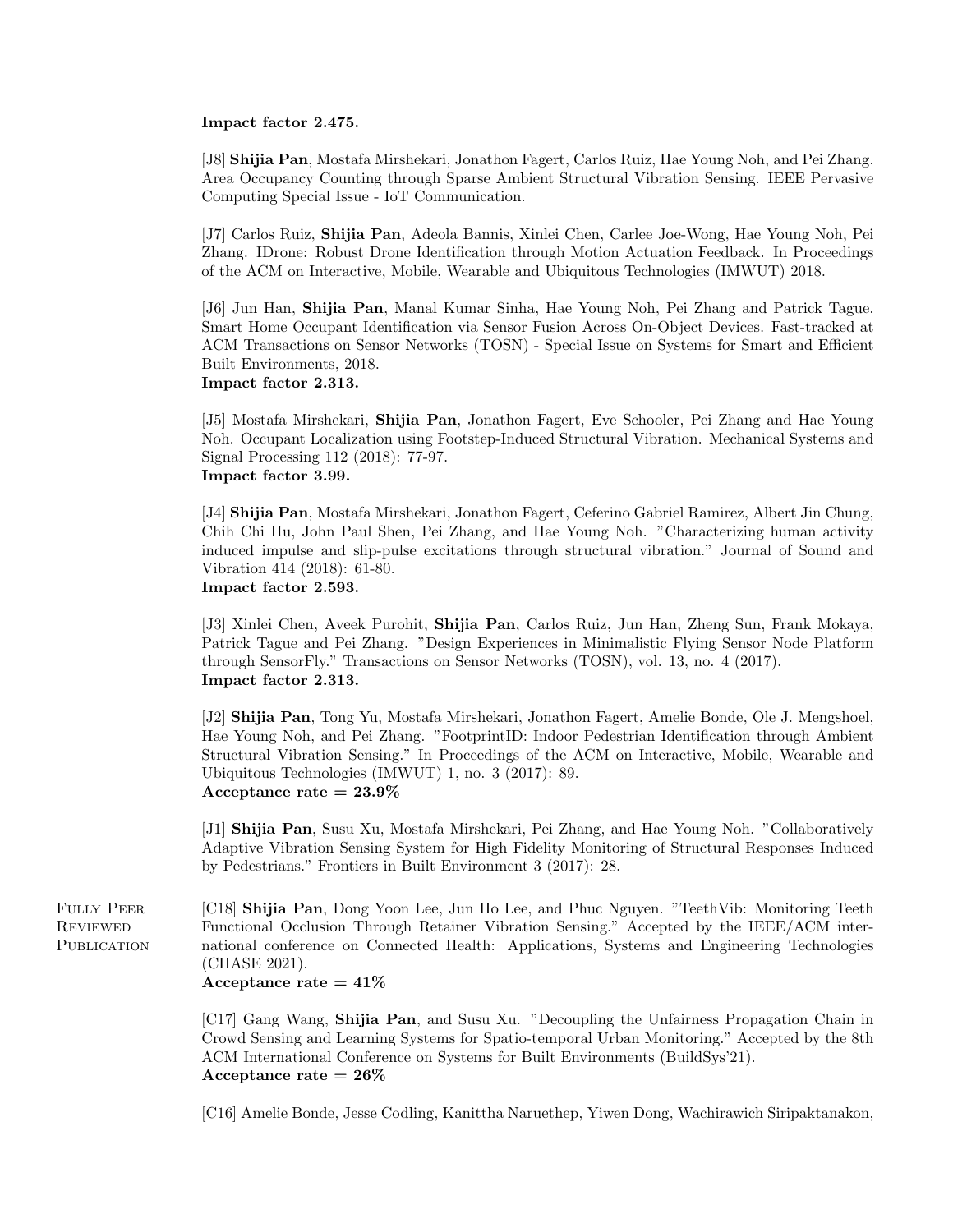#### Impact factor 2.475.

[J8] Shijia Pan, Mostafa Mirshekari, Jonathon Fagert, Carlos Ruiz, Hae Young Noh, and Pei Zhang. Area Occupancy Counting through Sparse Ambient Structural Vibration Sensing. IEEE Pervasive Computing Special Issue - IoT Communication.

[J7] Carlos Ruiz, Shijia Pan, Adeola Bannis, Xinlei Chen, Carlee Joe-Wong, Hae Young Noh, Pei Zhang. IDrone: Robust Drone Identification through Motion Actuation Feedback. In Proceedings of the ACM on Interactive, Mobile, Wearable and Ubiquitous Technologies (IMWUT) 2018.

[J6] Jun Han, Shijia Pan, Manal Kumar Sinha, Hae Young Noh, Pei Zhang and Patrick Tague. Smart Home Occupant Identification via Sensor Fusion Across On-Object Devices. Fast-tracked at ACM Transactions on Sensor Networks (TOSN) - Special Issue on Systems for Smart and Efficient Built Environments, 2018. Impact factor 2.313.

[J5] Mostafa Mirshekari, Shijia Pan, Jonathon Fagert, Eve Schooler, Pei Zhang and Hae Young Noh. Occupant Localization using Footstep-Induced Structural Vibration. Mechanical Systems and Signal Processing 112 (2018): 77-97. Impact factor 3.99.

[J4] Shijia Pan, Mostafa Mirshekari, Jonathon Fagert, Ceferino Gabriel Ramirez, Albert Jin Chung, Chih Chi Hu, John Paul Shen, Pei Zhang, and Hae Young Noh. "Characterizing human activity induced impulse and slip-pulse excitations through structural vibration." Journal of Sound and Vibration 414 (2018): 61-80.

Impact factor 2.593.

[J3] Xinlei Chen, Aveek Purohit, Shijia Pan, Carlos Ruiz, Jun Han, Zheng Sun, Frank Mokaya, Patrick Tague and Pei Zhang. "Design Experiences in Minimalistic Flying Sensor Node Platform through SensorFly." Transactions on Sensor Networks (TOSN), vol. 13, no. 4 (2017). Impact factor 2.313.

[J2] Shijia Pan, Tong Yu, Mostafa Mirshekari, Jonathon Fagert, Amelie Bonde, Ole J. Mengshoel, Hae Young Noh, and Pei Zhang. "FootprintID: Indoor Pedestrian Identification through Ambient Structural Vibration Sensing." In Proceedings of the ACM on Interactive, Mobile, Wearable and Ubiquitous Technologies (IMWUT) 1, no. 3 (2017): 89. Acceptance rate  $= 23.9\%$ 

[J1] Shijia Pan, Susu Xu, Mostafa Mirshekari, Pei Zhang, and Hae Young Noh. "Collaboratively Adaptive Vibration Sensing System for High Fidelity Monitoring of Structural Responses Induced by Pedestrians." Frontiers in Built Environment 3 (2017): 28.

Fully Peer **REVIEWED** PUBLICATION [C18] Shijia Pan, Dong Yoon Lee, Jun Ho Lee, and Phuc Nguyen. "TeethVib: Monitoring Teeth Functional Occlusion Through Retainer Vibration Sensing." Accepted by the IEEE/ACM international conference on Connected Health: Applications, Systems and Engineering Technologies (CHASE 2021).

# Acceptance rate  $= 41\%$

[C17] Gang Wang, Shijia Pan, and Susu Xu. "Decoupling the Unfairness Propagation Chain in Crowd Sensing and Learning Systems for Spatio-temporal Urban Monitoring." Accepted by the 8th ACM International Conference on Systems for Built Environments (BuildSys'21). Acceptance rate  $= 26\%$ 

[C16] Amelie Bonde, Jesse Codling, Kanittha Naruethep, Yiwen Dong, Wachirawich Siripaktanakon,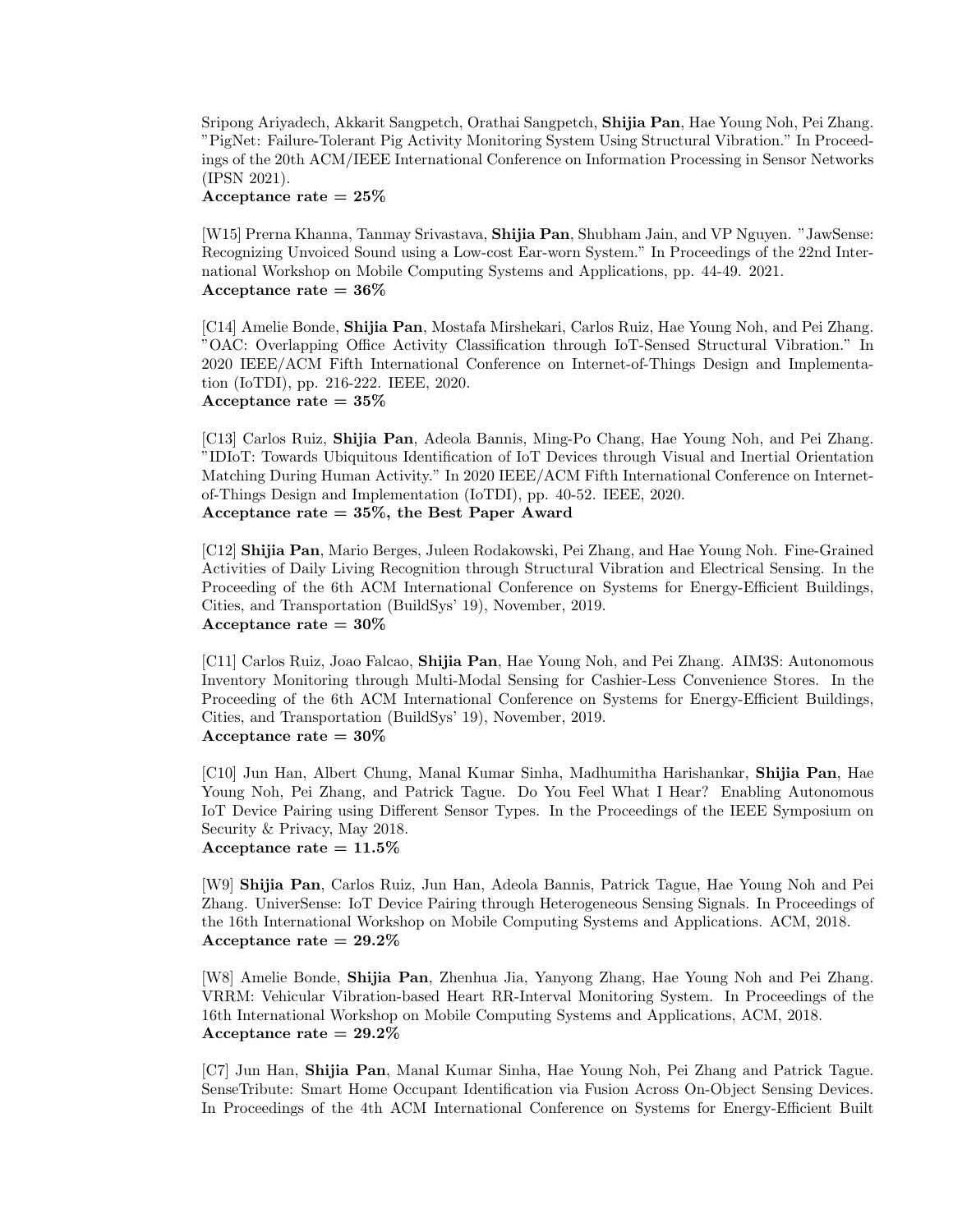Sripong Ariyadech, Akkarit Sangpetch, Orathai Sangpetch, Shijia Pan, Hae Young Noh, Pei Zhang. "PigNet: Failure-Tolerant Pig Activity Monitoring System Using Structural Vibration." In Proceedings of the 20th ACM/IEEE International Conference on Information Processing in Sensor Networks (IPSN 2021).

#### Acceptance rate  $= 25\%$

[W15] Prerna Khanna, Tanmay Srivastava, Shijia Pan, Shubham Jain, and VP Nguyen. "JawSense: Recognizing Unvoiced Sound using a Low-cost Ear-worn System." In Proceedings of the 22nd International Workshop on Mobile Computing Systems and Applications, pp. 44-49. 2021. Acceptance rate  $= 36\%$ 

[C14] Amelie Bonde, Shijia Pan, Mostafa Mirshekari, Carlos Ruiz, Hae Young Noh, and Pei Zhang. "OAC: Overlapping Office Activity Classification through IoT-Sensed Structural Vibration." In 2020 IEEE/ACM Fifth International Conference on Internet-of-Things Design and Implementation (IoTDI), pp. 216-222. IEEE, 2020. Acceptance rate  $= 35\%$ 

[C13] Carlos Ruiz, Shijia Pan, Adeola Bannis, Ming-Po Chang, Hae Young Noh, and Pei Zhang. "IDIoT: Towards Ubiquitous Identification of IoT Devices through Visual and Inertial Orientation Matching During Human Activity." In 2020 IEEE/ACM Fifth International Conference on Internetof-Things Design and Implementation (IoTDI), pp. 40-52. IEEE, 2020. Acceptance rate  $= 35\%$ , the Best Paper Award

[C12] Shijia Pan, Mario Berges, Juleen Rodakowski, Pei Zhang, and Hae Young Noh. Fine-Grained Activities of Daily Living Recognition through Structural Vibration and Electrical Sensing. In the Proceeding of the 6th ACM International Conference on Systems for Energy-Efficient Buildings, Cities, and Transportation (BuildSys' 19), November, 2019. Acceptance rate  $= 30\%$ 

[C11] Carlos Ruiz, Joao Falcao, Shijia Pan, Hae Young Noh, and Pei Zhang. AIM3S: Autonomous Inventory Monitoring through Multi-Modal Sensing for Cashier-Less Convenience Stores. In the Proceeding of the 6th ACM International Conference on Systems for Energy-Efficient Buildings, Cities, and Transportation (BuildSys' 19), November, 2019. Acceptance rate  $= 30\%$ 

[C10] Jun Han, Albert Chung, Manal Kumar Sinha, Madhumitha Harishankar, Shijia Pan, Hae Young Noh, Pei Zhang, and Patrick Tague. Do You Feel What I Hear? Enabling Autonomous IoT Device Pairing using Different Sensor Types. In the Proceedings of the IEEE Symposium on Security & Privacy, May 2018. Acceptance rate  $= 11.5\%$ 

[W9] Shijia Pan, Carlos Ruiz, Jun Han, Adeola Bannis, Patrick Tague, Hae Young Noh and Pei Zhang. UniverSense: IoT Device Pairing through Heterogeneous Sensing Signals. In Proceedings of the 16th International Workshop on Mobile Computing Systems and Applications. ACM, 2018. Acceptance rate  $= 29.2\%$ 

[W8] Amelie Bonde, Shijia Pan, Zhenhua Jia, Yanyong Zhang, Hae Young Noh and Pei Zhang. VRRM: Vehicular Vibration-based Heart RR-Interval Monitoring System. In Proceedings of the 16th International Workshop on Mobile Computing Systems and Applications, ACM, 2018. Acceptance rate  $= 29.2\%$ 

[C7] Jun Han, Shijia Pan, Manal Kumar Sinha, Hae Young Noh, Pei Zhang and Patrick Tague. SenseTribute: Smart Home Occupant Identification via Fusion Across On-Object Sensing Devices. In Proceedings of the 4th ACM International Conference on Systems for Energy-Efficient Built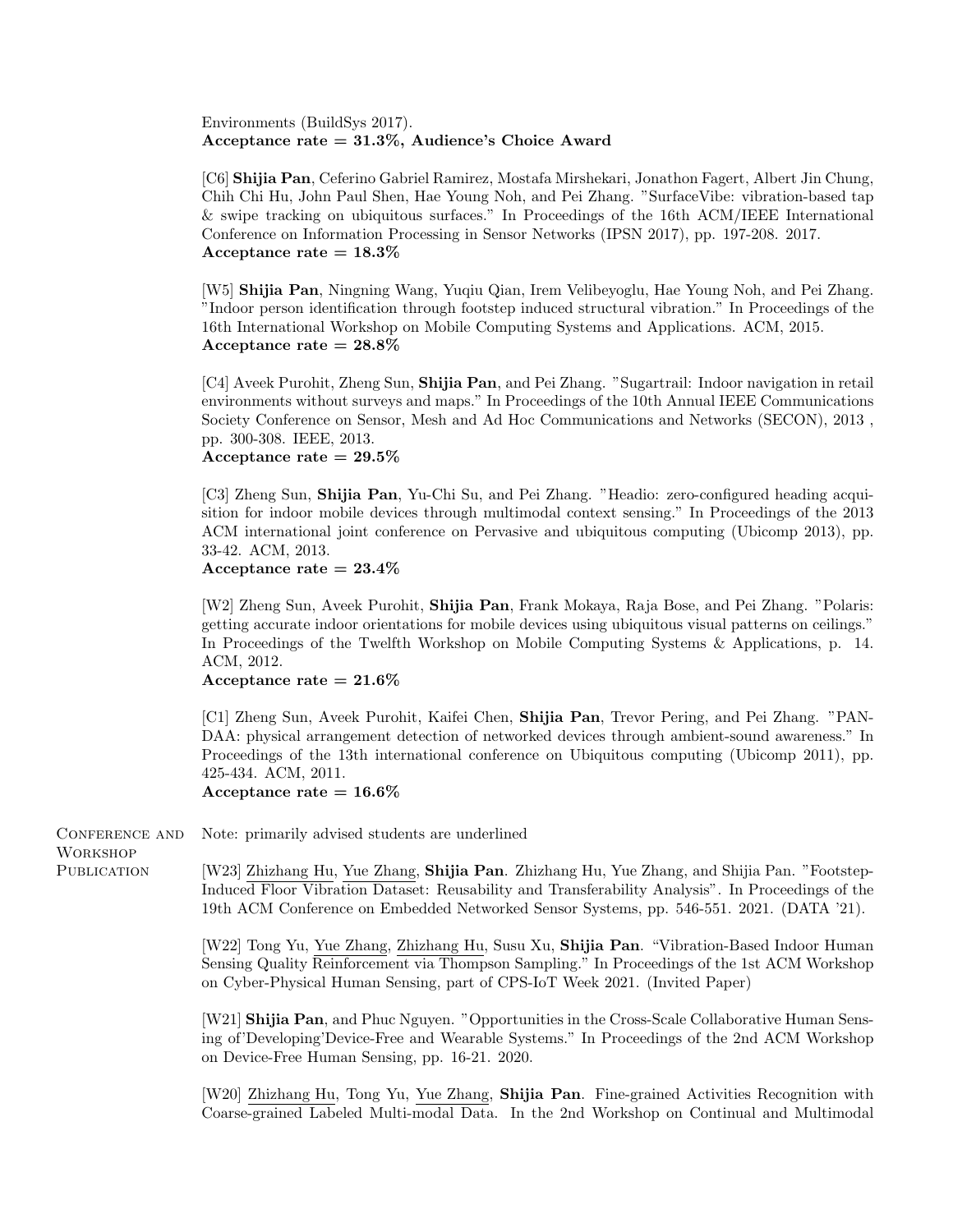Environments (BuildSys 2017). Acceptance rate  $= 31.3\%$ , Audience's Choice Award

[C6] Shijia Pan, Ceferino Gabriel Ramirez, Mostafa Mirshekari, Jonathon Fagert, Albert Jin Chung, Chih Chi Hu, John Paul Shen, Hae Young Noh, and Pei Zhang. "SurfaceVibe: vibration-based tap & swipe tracking on ubiquitous surfaces." In Proceedings of the 16th ACM/IEEE International Conference on Information Processing in Sensor Networks (IPSN 2017), pp. 197-208. 2017. Acceptance rate  $= 18.3\%$ 

[W5] Shijia Pan, Ningning Wang, Yuqiu Qian, Irem Velibeyoglu, Hae Young Noh, and Pei Zhang. "Indoor person identification through footstep induced structural vibration." In Proceedings of the 16th International Workshop on Mobile Computing Systems and Applications. ACM, 2015. Acceptance rate  $= 28.8\%$ 

[C4] Aveek Purohit, Zheng Sun, Shijia Pan, and Pei Zhang. "Sugartrail: Indoor navigation in retail environments without surveys and maps." In Proceedings of the 10th Annual IEEE Communications Society Conference on Sensor, Mesh and Ad Hoc Communications and Networks (SECON), 2013 , pp. 300-308. IEEE, 2013.

Acceptance rate  $= 29.5\%$ 

[C3] Zheng Sun, Shijia Pan, Yu-Chi Su, and Pei Zhang. "Headio: zero-configured heading acquisition for indoor mobile devices through multimodal context sensing." In Proceedings of the 2013 ACM international joint conference on Pervasive and ubiquitous computing (Ubicomp 2013), pp. 33-42. ACM, 2013.

Acceptance rate  $= 23.4\%$ 

[W2] Zheng Sun, Aveek Purohit, Shijia Pan, Frank Mokaya, Raja Bose, and Pei Zhang. "Polaris: getting accurate indoor orientations for mobile devices using ubiquitous visual patterns on ceilings." In Proceedings of the Twelfth Workshop on Mobile Computing Systems & Applications, p. 14. ACM, 2012.

#### Acceptance rate  $= 21.6\%$

[C1] Zheng Sun, Aveek Purohit, Kaifei Chen, Shijia Pan, Trevor Pering, and Pei Zhang. "PAN-DAA: physical arrangement detection of networked devices through ambient-sound awareness." In Proceedings of the 13th international conference on Ubiquitous computing (Ubicomp 2011), pp. 425-434. ACM, 2011.

Acceptance rate  $= 16.6\%$ 

Conference and

Note: primarily advised students are underlined

Workshop PUBLICATION

[W23] Zhizhang Hu, Yue Zhang, Shijia Pan. Zhizhang Hu, Yue Zhang, and Shijia Pan. "Footstep-Induced Floor Vibration Dataset: Reusability and Transferability Analysis". In Proceedings of the 19th ACM Conference on Embedded Networked Sensor Systems, pp. 546-551. 2021. (DATA '21).

[W22] Tong Yu, Yue Zhang, Zhizhang Hu, Susu Xu, Shijia Pan. "Vibration-Based Indoor Human Sensing Quality Reinforcement via Thompson Sampling." In Proceedings of the 1st ACM Workshop on Cyber-Physical Human Sensing, part of CPS-IoT Week 2021. (Invited Paper)

[W21] Shijia Pan, and Phuc Nguyen. "Opportunities in the Cross-Scale Collaborative Human Sensing of'Developing'Device-Free and Wearable Systems." In Proceedings of the 2nd ACM Workshop on Device-Free Human Sensing, pp. 16-21. 2020.

[W20] Zhizhang Hu, Tong Yu, Yue Zhang, Shijia Pan. Fine-grained Activities Recognition with Coarse-grained Labeled Multi-modal Data. In the 2nd Workshop on Continual and Multimodal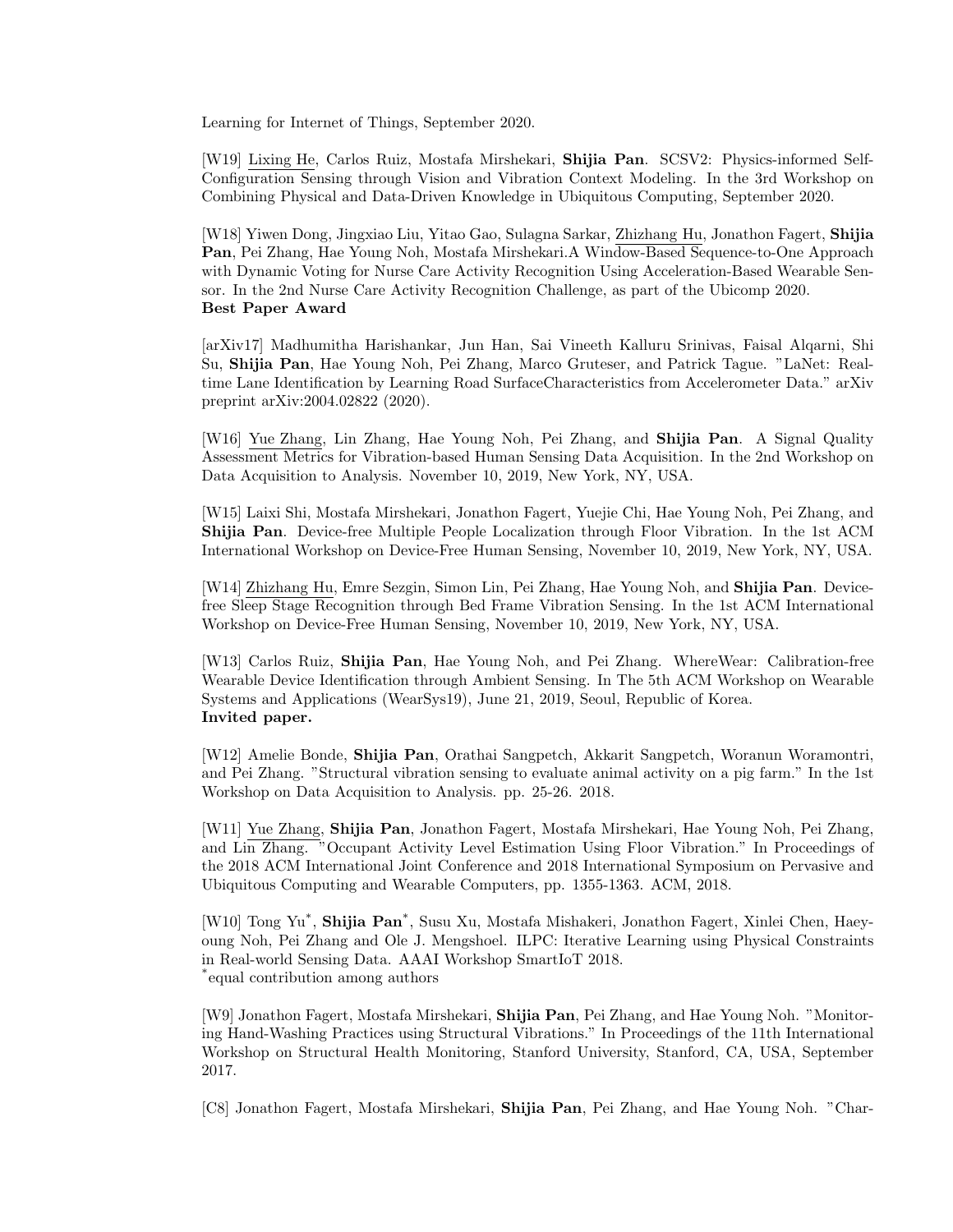Learning for Internet of Things, September 2020.

[W19] Lixing He, Carlos Ruiz, Mostafa Mirshekari, Shijia Pan. SCSV2: Physics-informed Self-Configuration Sensing through Vision and Vibration Context Modeling. In the 3rd Workshop on Combining Physical and Data-Driven Knowledge in Ubiquitous Computing, September 2020.

[W18] Yiwen Dong, Jingxiao Liu, Yitao Gao, Sulagna Sarkar, Zhizhang Hu, Jonathon Fagert, Shijia Pan, Pei Zhang, Hae Young Noh, Mostafa Mirshekari.A Window-Based Sequence-to-One Approach with Dynamic Voting for Nurse Care Activity Recognition Using Acceleration-Based Wearable Sensor. In the 2nd Nurse Care Activity Recognition Challenge, as part of the Ubicomp 2020. Best Paper Award

[arXiv17] Madhumitha Harishankar, Jun Han, Sai Vineeth Kalluru Srinivas, Faisal Alqarni, Shi Su, Shijia Pan, Hae Young Noh, Pei Zhang, Marco Gruteser, and Patrick Tague. "LaNet: Realtime Lane Identification by Learning Road SurfaceCharacteristics from Accelerometer Data." arXiv preprint arXiv:2004.02822 (2020).

[W16] Yue Zhang, Lin Zhang, Hae Young Noh, Pei Zhang, and Shijia Pan. A Signal Quality Assessment Metrics for Vibration-based Human Sensing Data Acquisition. In the 2nd Workshop on Data Acquisition to Analysis. November 10, 2019, New York, NY, USA.

[W15] Laixi Shi, Mostafa Mirshekari, Jonathon Fagert, Yuejie Chi, Hae Young Noh, Pei Zhang, and Shijia Pan. Device-free Multiple People Localization through Floor Vibration. In the 1st ACM International Workshop on Device-Free Human Sensing, November 10, 2019, New York, NY, USA.

[W14] Zhizhang Hu, Emre Sezgin, Simon Lin, Pei Zhang, Hae Young Noh, and Shijia Pan. Devicefree Sleep Stage Recognition through Bed Frame Vibration Sensing. In the 1st ACM International Workshop on Device-Free Human Sensing, November 10, 2019, New York, NY, USA.

[W13] Carlos Ruiz, Shijia Pan, Hae Young Noh, and Pei Zhang. WhereWear: Calibration-free Wearable Device Identification through Ambient Sensing. In The 5th ACM Workshop on Wearable Systems and Applications (WearSys19), June 21, 2019, Seoul, Republic of Korea. Invited paper.

[W12] Amelie Bonde, Shijia Pan, Orathai Sangpetch, Akkarit Sangpetch, Woranun Woramontri, and Pei Zhang. "Structural vibration sensing to evaluate animal activity on a pig farm." In the 1st Workshop on Data Acquisition to Analysis. pp. 25-26. 2018.

[W11] Yue Zhang, Shijia Pan, Jonathon Fagert, Mostafa Mirshekari, Hae Young Noh, Pei Zhang, and Lin Zhang. "Occupant Activity Level Estimation Using Floor Vibration." In Proceedings of the 2018 ACM International Joint Conference and 2018 International Symposium on Pervasive and Ubiquitous Computing and Wearable Computers, pp. 1355-1363. ACM, 2018.

[W10] Tong Yu<sup>\*</sup>, Shijia Pan<sup>\*</sup>, Susu Xu, Mostafa Mishakeri, Jonathon Fagert, Xinlei Chen, Haeyoung Noh, Pei Zhang and Ole J. Mengshoel. ILPC: Iterative Learning using Physical Constraints in Real-world Sensing Data. AAAI Workshop SmartIoT 2018. \* equal contribution among authors

[W9] Jonathon Fagert, Mostafa Mirshekari, Shijia Pan, Pei Zhang, and Hae Young Noh. "Monitoring Hand-Washing Practices using Structural Vibrations." In Proceedings of the 11th International Workshop on Structural Health Monitoring, Stanford University, Stanford, CA, USA, September 2017.

[C8] Jonathon Fagert, Mostafa Mirshekari, Shijia Pan, Pei Zhang, and Hae Young Noh. "Char-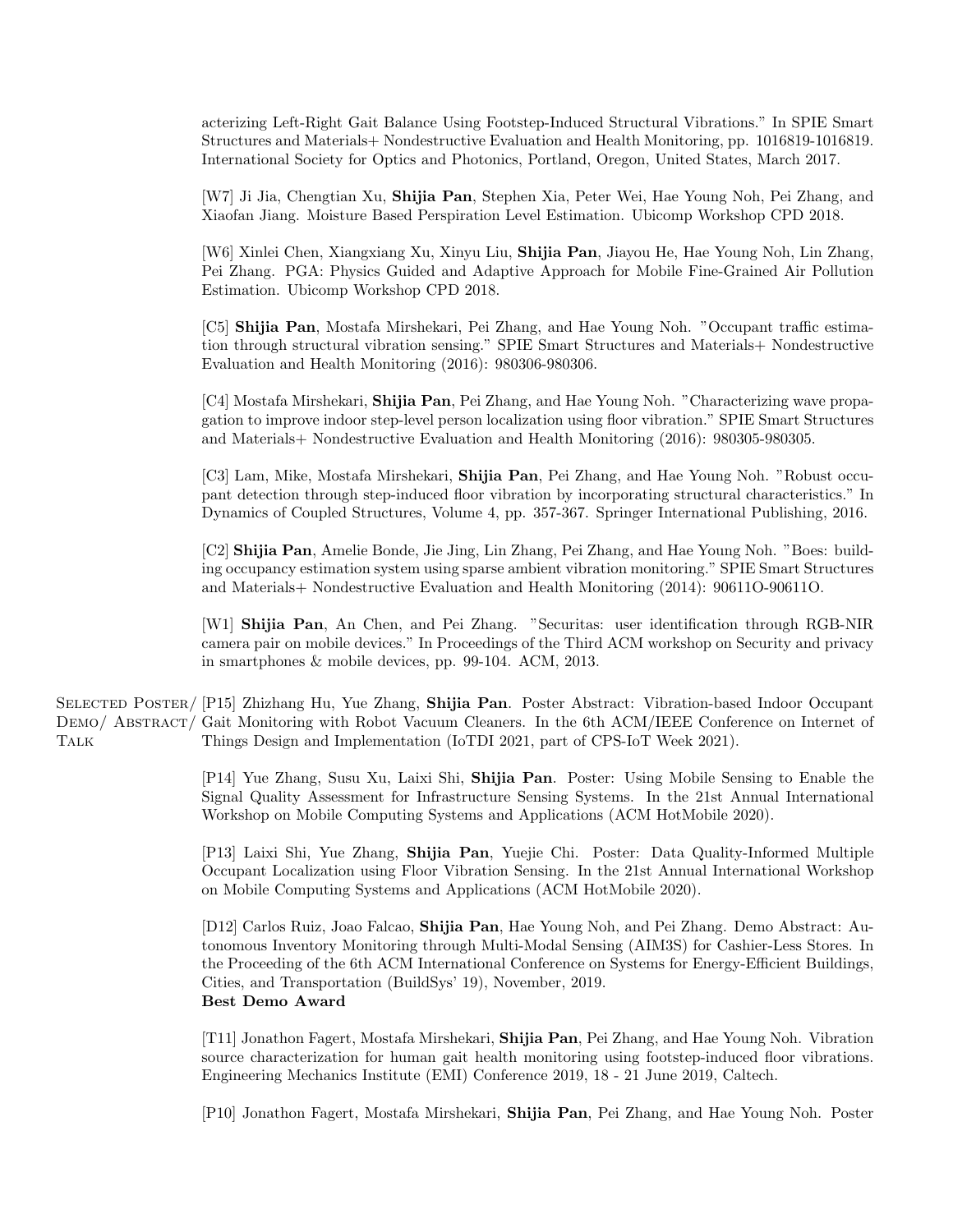acterizing Left-Right Gait Balance Using Footstep-Induced Structural Vibrations." In SPIE Smart Structures and Materials+ Nondestructive Evaluation and Health Monitoring, pp. 1016819-1016819. International Society for Optics and Photonics, Portland, Oregon, United States, March 2017.

[W7] Ji Jia, Chengtian Xu, Shijia Pan, Stephen Xia, Peter Wei, Hae Young Noh, Pei Zhang, and Xiaofan Jiang. Moisture Based Perspiration Level Estimation. Ubicomp Workshop CPD 2018.

[W6] Xinlei Chen, Xiangxiang Xu, Xinyu Liu, Shijia Pan, Jiayou He, Hae Young Noh, Lin Zhang, Pei Zhang. PGA: Physics Guided and Adaptive Approach for Mobile Fine-Grained Air Pollution Estimation. Ubicomp Workshop CPD 2018.

[C5] Shijia Pan, Mostafa Mirshekari, Pei Zhang, and Hae Young Noh. "Occupant traffic estimation through structural vibration sensing." SPIE Smart Structures and Materials+ Nondestructive Evaluation and Health Monitoring (2016): 980306-980306.

[C4] Mostafa Mirshekari, Shijia Pan, Pei Zhang, and Hae Young Noh. "Characterizing wave propagation to improve indoor step-level person localization using floor vibration." SPIE Smart Structures and Materials+ Nondestructive Evaluation and Health Monitoring (2016): 980305-980305.

[C3] Lam, Mike, Mostafa Mirshekari, Shijia Pan, Pei Zhang, and Hae Young Noh. "Robust occupant detection through step-induced floor vibration by incorporating structural characteristics." In Dynamics of Coupled Structures, Volume 4, pp. 357-367. Springer International Publishing, 2016.

[C2] Shijia Pan, Amelie Bonde, Jie Jing, Lin Zhang, Pei Zhang, and Hae Young Noh. "Boes: building occupancy estimation system using sparse ambient vibration monitoring." SPIE Smart Structures and Materials+ Nondestructive Evaluation and Health Monitoring (2014): 90611O-90611O.

[W1] Shijia Pan, An Chen, and Pei Zhang. "Securitas: user identification through RGB-NIR camera pair on mobile devices." In Proceedings of the Third ACM workshop on Security and privacy in smartphones & mobile devices, pp. 99-104. ACM, 2013.

SELECTED POSTER/ [P15] Zhizhang Hu, Yue Zhang, Shijia Pan. Poster Abstract: Vibration-based Indoor Occupant DEMO/ ABSTRACT/ Gait Monitoring with Robot Vacuum Cleaners. In the 6th ACM/IEEE Conference on Internet of **TALK** Things Design and Implementation (IoTDI 2021, part of CPS-IoT Week 2021).

> [P14] Yue Zhang, Susu Xu, Laixi Shi, Shijia Pan. Poster: Using Mobile Sensing to Enable the Signal Quality Assessment for Infrastructure Sensing Systems. In the 21st Annual International Workshop on Mobile Computing Systems and Applications (ACM HotMobile 2020).

> [P13] Laixi Shi, Yue Zhang, Shijia Pan, Yuejie Chi. Poster: Data Quality-Informed Multiple Occupant Localization using Floor Vibration Sensing. In the 21st Annual International Workshop on Mobile Computing Systems and Applications (ACM HotMobile 2020).

> [D12] Carlos Ruiz, Joao Falcao, Shijia Pan, Hae Young Noh, and Pei Zhang. Demo Abstract: Autonomous Inventory Monitoring through Multi-Modal Sensing (AIM3S) for Cashier-Less Stores. In the Proceeding of the 6th ACM International Conference on Systems for Energy-Efficient Buildings, Cities, and Transportation (BuildSys' 19), November, 2019. Best Demo Award

> [T11] Jonathon Fagert, Mostafa Mirshekari, Shijia Pan, Pei Zhang, and Hae Young Noh. Vibration source characterization for human gait health monitoring using footstep-induced floor vibrations. Engineering Mechanics Institute (EMI) Conference 2019, 18 - 21 June 2019, Caltech.

> [P10] Jonathon Fagert, Mostafa Mirshekari, Shijia Pan, Pei Zhang, and Hae Young Noh. Poster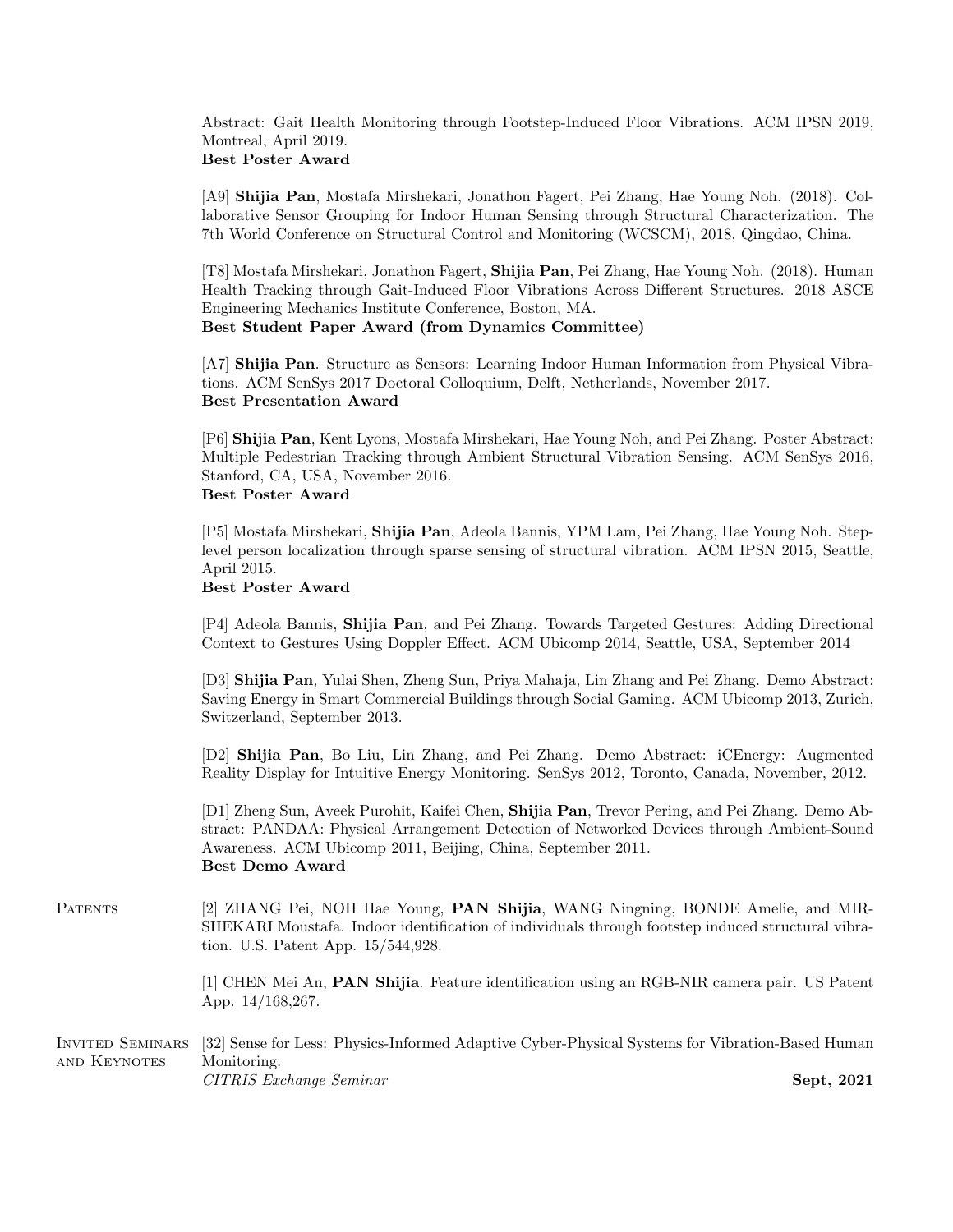Abstract: Gait Health Monitoring through Footstep-Induced Floor Vibrations. ACM IPSN 2019, Montreal, April 2019. Best Poster Award

[A9] Shijia Pan, Mostafa Mirshekari, Jonathon Fagert, Pei Zhang, Hae Young Noh. (2018). Collaborative Sensor Grouping for Indoor Human Sensing through Structural Characterization. The 7th World Conference on Structural Control and Monitoring (WCSCM), 2018, Qingdao, China.

[T8] Mostafa Mirshekari, Jonathon Fagert, Shijia Pan, Pei Zhang, Hae Young Noh. (2018). Human Health Tracking through Gait-Induced Floor Vibrations Across Different Structures. 2018 ASCE Engineering Mechanics Institute Conference, Boston, MA.

Best Student Paper Award (from Dynamics Committee)

[A7] Shijia Pan. Structure as Sensors: Learning Indoor Human Information from Physical Vibrations. ACM SenSys 2017 Doctoral Colloquium, Delft, Netherlands, November 2017. Best Presentation Award

[P6] Shijia Pan, Kent Lyons, Mostafa Mirshekari, Hae Young Noh, and Pei Zhang. Poster Abstract: Multiple Pedestrian Tracking through Ambient Structural Vibration Sensing. ACM SenSys 2016, Stanford, CA, USA, November 2016. Best Poster Award

[P5] Mostafa Mirshekari, Shijia Pan, Adeola Bannis, YPM Lam, Pei Zhang, Hae Young Noh. Steplevel person localization through sparse sensing of structural vibration. ACM IPSN 2015, Seattle, April 2015.

#### Best Poster Award

[P4] Adeola Bannis, Shijia Pan, and Pei Zhang. Towards Targeted Gestures: Adding Directional Context to Gestures Using Doppler Effect. ACM Ubicomp 2014, Seattle, USA, September 2014

[D3] Shijia Pan, Yulai Shen, Zheng Sun, Priya Mahaja, Lin Zhang and Pei Zhang. Demo Abstract: Saving Energy in Smart Commercial Buildings through Social Gaming. ACM Ubicomp 2013, Zurich, Switzerland, September 2013.

[D2] Shijia Pan, Bo Liu, Lin Zhang, and Pei Zhang. Demo Abstract: iCEnergy: Augmented Reality Display for Intuitive Energy Monitoring. SenSys 2012, Toronto, Canada, November, 2012.

[D1] Zheng Sun, Aveek Purohit, Kaifei Chen, Shijia Pan, Trevor Pering, and Pei Zhang. Demo Abstract: PANDAA: Physical Arrangement Detection of Networked Devices through Ambient-Sound Awareness. ACM Ubicomp 2011, Beijing, China, September 2011. Best Demo Award

PATENTS [2] ZHANG Pei, NOH Hae Young, **PAN Shijia**, WANG Ningning, BONDE Amelie, and MIR-SHEKARI Moustafa. Indoor identification of individuals through footstep induced structural vibration. U.S. Patent App. 15/544,928.

> [1] CHEN Mei An, PAN Shijia. Feature identification using an RGB-NIR camera pair. US Patent App. 14/168,267.

Invited Seminars and Keynotes [32] Sense for Less: Physics-Informed Adaptive Cyber-Physical Systems for Vibration-Based Human Monitoring. CITRIS Exchange Seminar Sept, 2021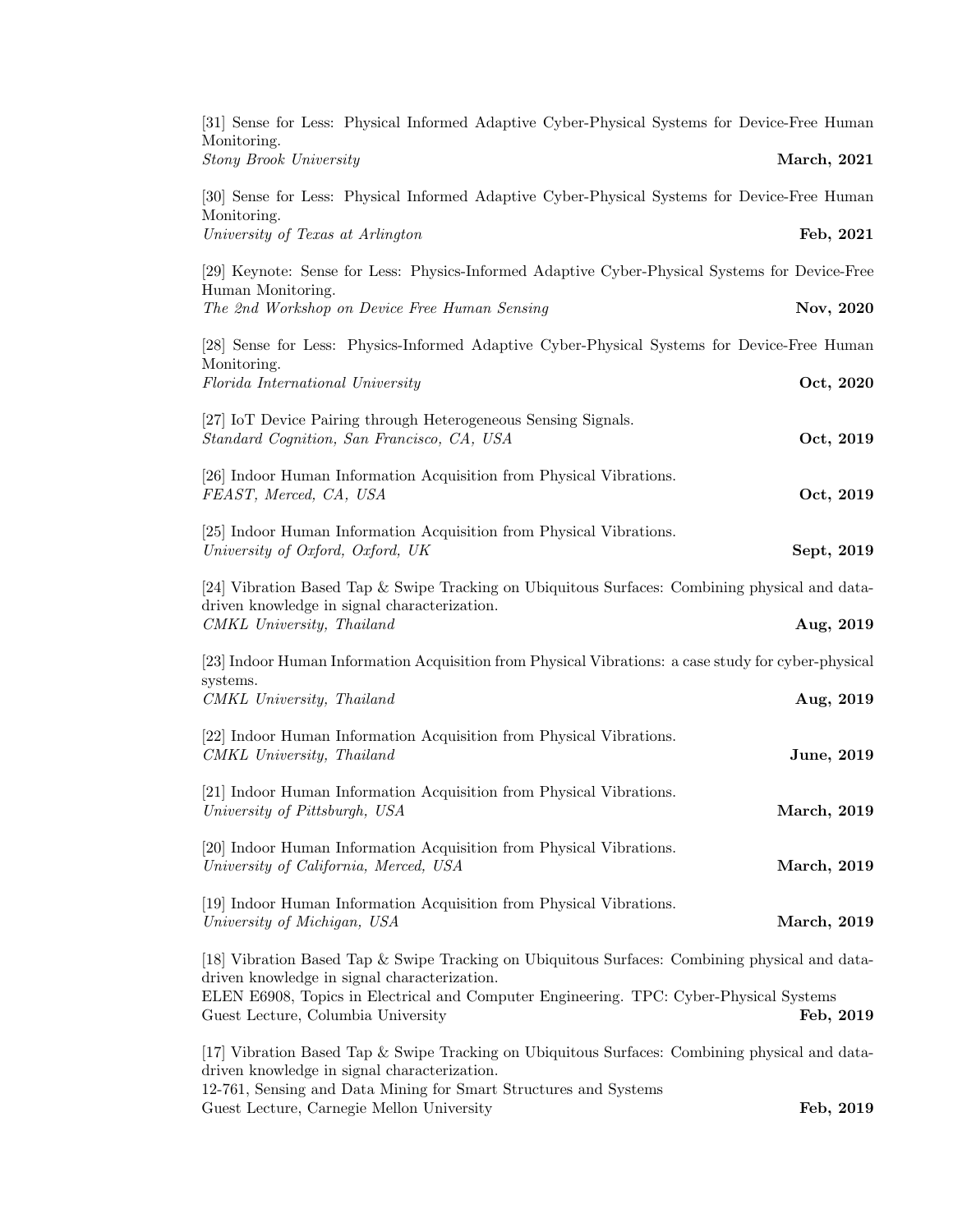| [31] Sense for Less: Physical Informed Adaptive Cyber-Physical Systems for Device-Free Human                | Monitoring.                                                                                                                  |
|-------------------------------------------------------------------------------------------------------------|------------------------------------------------------------------------------------------------------------------------------|
| March, 2021                                                                                                 | <b>Stony Brook University</b>                                                                                                |
| [30] Sense for Less: Physical Informed Adaptive Cyber-Physical Systems for Device-Free Human                | Monitoring.                                                                                                                  |
| Feb, 2021                                                                                                   | University of Texas at Arlington                                                                                             |
| [29] Keynote: Sense for Less: Physics-Informed Adaptive Cyber-Physical Systems for Device-Free              | Human Monitoring.                                                                                                            |
| Nov, 2020                                                                                                   | The 2nd Workshop on Device Free Human Sensing                                                                                |
| [28] Sense for Less: Physics-Informed Adaptive Cyber-Physical Systems for Device-Free Human                 | Monitoring.                                                                                                                  |
| Oct, 2020                                                                                                   | Florida International University                                                                                             |
| Oct, 2019                                                                                                   | [27] IoT Device Pairing through Heterogeneous Sensing Signals.<br>Standard Cognition, San Francisco, CA, USA                 |
| Oct, 2019                                                                                                   | [26] Indoor Human Information Acquisition from Physical Vibrations.<br>FEAST, Merced, CA, USA                                |
| Sept, 2019                                                                                                  | [25] Indoor Human Information Acquisition from Physical Vibrations.<br>University of Oxford, Oxford, UK                      |
| [24] Vibration Based Tap & Swipe Tracking on Ubiquitous Surfaces: Combining physical and data-<br>Aug, 2019 | driven knowledge in signal characterization.<br>CMKL University, Thailand                                                    |
| [23] Indoor Human Information Acquisition from Physical Vibrations: a case study for cyber-physical         |                                                                                                                              |
| Aug, 2019                                                                                                   | systems.<br>CMKL University, Thailand                                                                                        |
| June, 2019                                                                                                  | [22] Indoor Human Information Acquisition from Physical Vibrations.<br>CMKL University, Thailand                             |
| <b>March</b> , 2019                                                                                         | [21] Indoor Human Information Acquisition from Physical Vibrations.<br>University of Pittsburgh, USA                         |
| March, 2019                                                                                                 | [20] Indoor Human Information Acquisition from Physical Vibrations.<br>University of California, Merced, USA                 |
| March, 2019                                                                                                 | [19] Indoor Human Information Acquisition from Physical Vibrations.<br>University of Michigan, USA                           |
| [18] Vibration Based Tap & Swipe Tracking on Ubiquitous Surfaces: Combining physical and data-              | driven knowledge in signal characterization.                                                                                 |
| Feb, 2019                                                                                                   | ELEN E6908, Topics in Electrical and Computer Engineering. TPC: Cyber-Physical Systems<br>Guest Lecture, Columbia University |
| [17] Vibration Based Tap & Swipe Tracking on Ubiquitous Surfaces: Combining physical and data-              | driven knowledge in signal characterization.                                                                                 |
| Feb, 2019                                                                                                   | 12-761, Sensing and Data Mining for Smart Structures and Systems<br>Guest Lecture, Carnegie Mellon University                |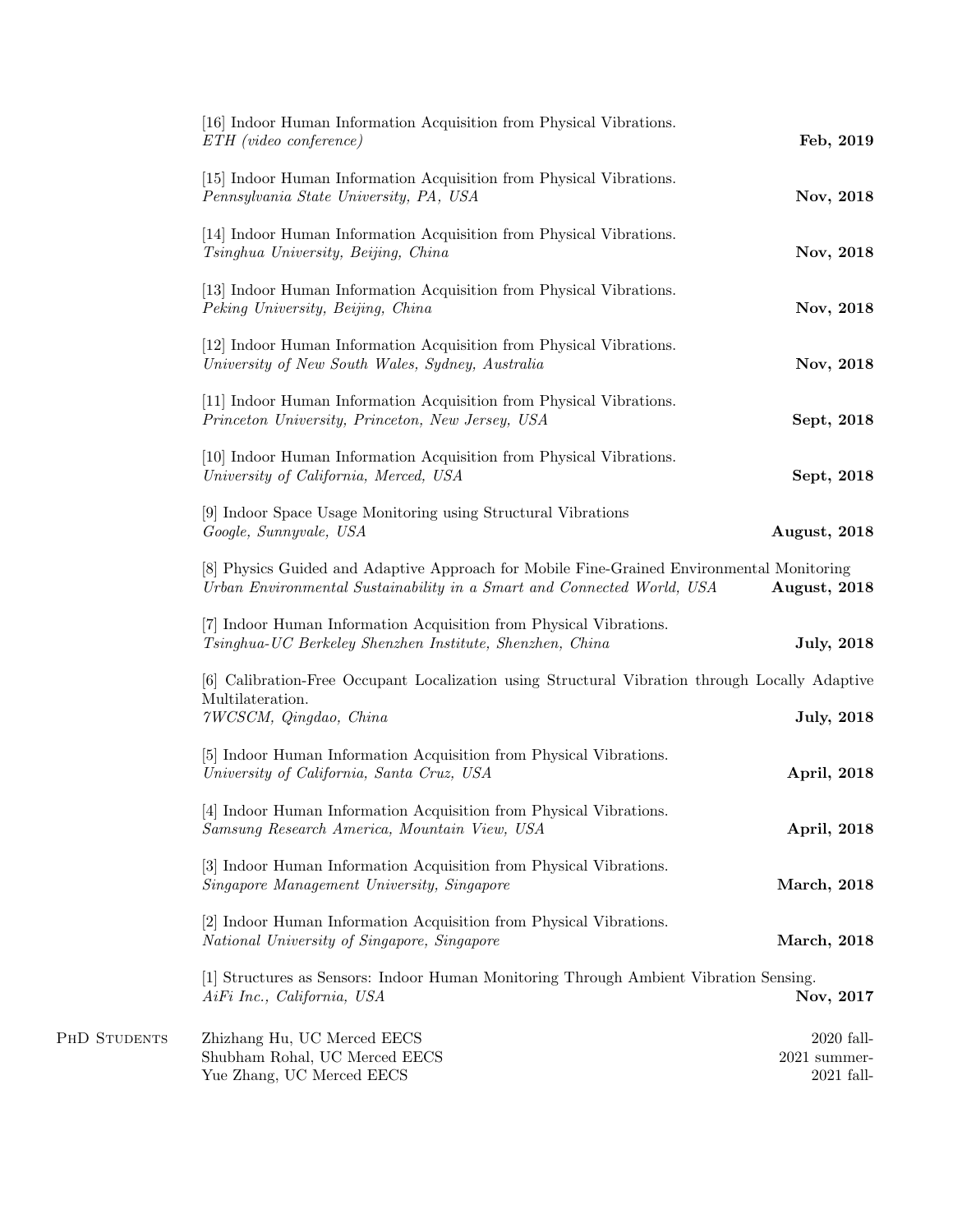| Feb, 2019                                      | [16] Indoor Human Information Acquisition from Physical Vibrations.<br>$ETH$ (video conference)                                                                     |  |
|------------------------------------------------|---------------------------------------------------------------------------------------------------------------------------------------------------------------------|--|
| Nov, 2018                                      | [15] Indoor Human Information Acquisition from Physical Vibrations.<br>Pennsylvania State University, PA, USA                                                       |  |
| Nov, 2018                                      | [14] Indoor Human Information Acquisition from Physical Vibrations.<br>Tsinghua University, Beijing, China                                                          |  |
| Nov, 2018                                      | [13] Indoor Human Information Acquisition from Physical Vibrations.<br>Peking University, Beijing, China                                                            |  |
| Nov, 2018                                      | [12] Indoor Human Information Acquisition from Physical Vibrations.<br>University of New South Wales, Sydney, Australia                                             |  |
| Sept, 2018                                     | [11] Indoor Human Information Acquisition from Physical Vibrations.<br>Princeton University, Princeton, New Jersey, USA                                             |  |
| Sept, 2018                                     | [10] Indoor Human Information Acquisition from Physical Vibrations.<br>University of California, Merced, USA                                                        |  |
| August, 2018                                   | [9] Indoor Space Usage Monitoring using Structural Vibrations<br>Google, Sunnyvale, USA                                                                             |  |
| August, 2018                                   | [8] Physics Guided and Adaptive Approach for Mobile Fine-Grained Environmental Monitoring<br>Urban Environmental Sustainability in a Smart and Connected World, USA |  |
| <b>July</b> , 2018                             | [7] Indoor Human Information Acquisition from Physical Vibrations.<br>Tsinghua-UC Berkeley Shenzhen Institute, Shenzhen, China                                      |  |
|                                                | [6] Calibration-Free Occupant Localization using Structural Vibration through Locally Adaptive<br>Multilateration.                                                  |  |
| <b>July</b> , 2018                             | 7WCSCM, Qingdao, China                                                                                                                                              |  |
| April, 2018                                    | [5] Indoor Human Information Acquisition from Physical Vibrations.<br>University of California, Santa Cruz, USA                                                     |  |
| April, 2018                                    | [4] Indoor Human Information Acquisition from Physical Vibrations.<br>Samsung Research America, Mountain View, USA                                                  |  |
| March, 2018                                    | [3] Indoor Human Information Acquisition from Physical Vibrations.<br>Singapore Management University, Singapore                                                    |  |
| March, 2018                                    | [2] Indoor Human Information Acquisition from Physical Vibrations.<br>National University of Singapore, Singapore                                                   |  |
| Nov, 2017                                      | [1] Structures as Sensors: Indoor Human Monitoring Through Ambient Vibration Sensing.<br>AiFi Inc., California, USA                                                 |  |
| $2020$ fall-<br>$2021$ summer-<br>$2021$ fall- | Zhizhang Hu, UC Merced EECS<br>Shubham Rohal, UC Merced EECS<br>Yue Zhang, UC Merced EECS                                                                           |  |

PHD STUDENTS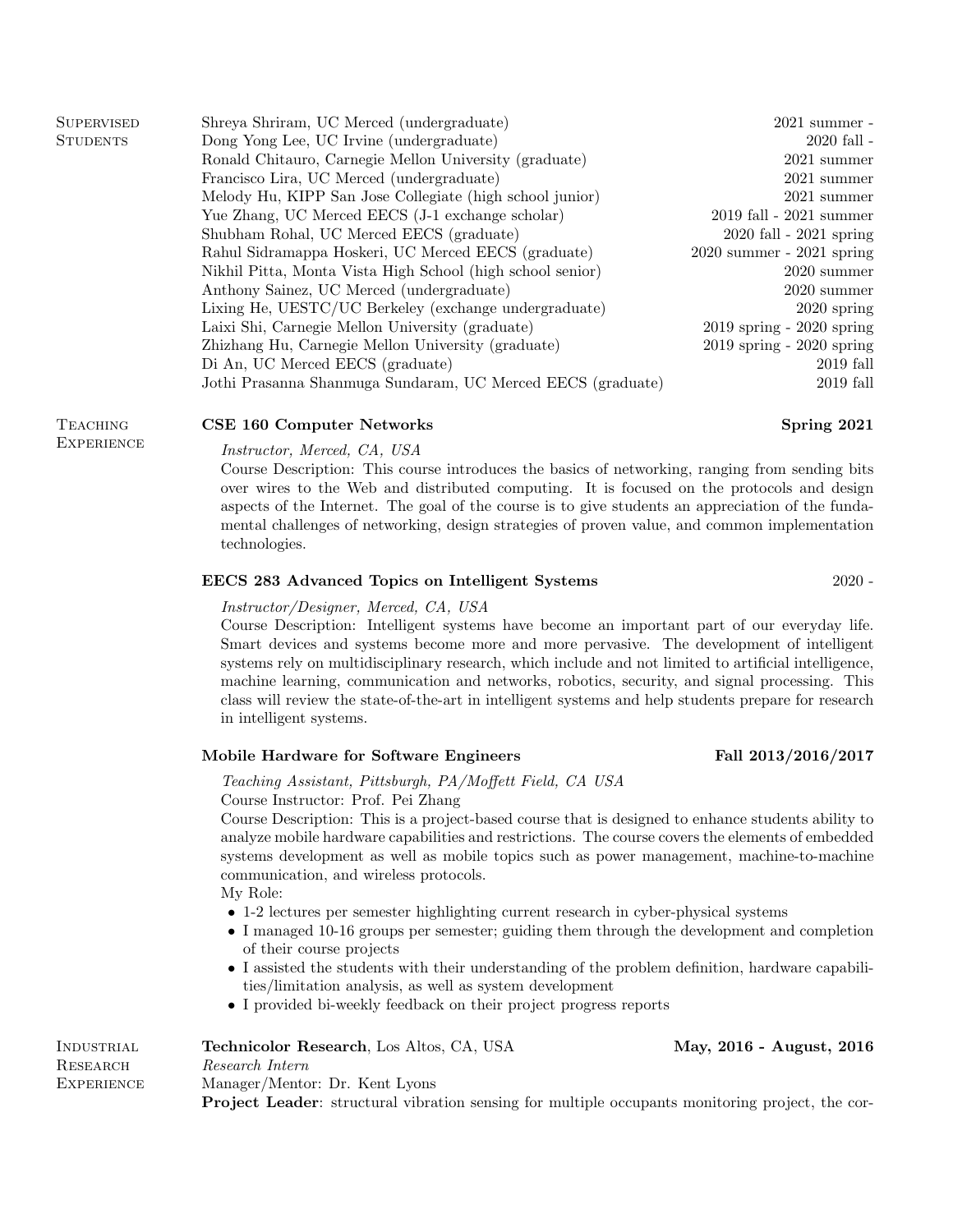| <b>SUPERVISED</b> | Shreya Shriram, UC Merced (undergraduate)                   | $2021$ summer -               |
|-------------------|-------------------------------------------------------------|-------------------------------|
| <b>STUDENTS</b>   | Dong Yong Lee, UC Irvine (undergraduate)                    | $2020$ fall $-$               |
|                   | Ronald Chitauro, Carnegie Mellon University (graduate)      | $2021$ summer                 |
|                   | Francisco Lira, UC Merced (undergraduate)                   | $2021$ summer                 |
|                   | Melody Hu, KIPP San Jose Collegiate (high school junior)    | $2021$ summer                 |
|                   | Yue Zhang, UC Merced EECS (J-1 exchange scholar)            | $2019$ fall - $2021$ summer   |
|                   | Shubham Rohal, UC Merced EECS (graduate)                    | $2020$ fall - $2021$ spring   |
|                   | Rahul Sidramappa Hoskeri, UC Merced EECS (graduate)         | $2020$ summer - $2021$ spring |
|                   | Nikhil Pitta, Monta Vista High School (high school senior)  | $2020$ summer                 |
|                   | Anthony Sainez, UC Merced (undergraduate)                   | $2020$ summer                 |
|                   | Lixing He, UESTC/UC Berkeley (exchange undergraduate)       | $2020$ spring                 |
|                   | Laixi Shi, Carnegie Mellon University (graduate)            | $2019$ spring - $2020$ spring |
|                   | Zhizhang Hu, Carnegie Mellon University (graduate)          | $2019$ spring - $2020$ spring |
|                   | Di An, UC Merced EECS (graduate)                            | $2019$ fall                   |
|                   | Jothi Prasanna Shanmuga Sundaram, UC Merced EECS (graduate) | $2019$ fall                   |
|                   |                                                             |                               |

# CSE 160 Computer Networks Spring 2021

**TEACHING EXPERIENCE** 

# Instructor, Merced, CA, USA

Course Description: This course introduces the basics of networking, ranging from sending bits over wires to the Web and distributed computing. It is focused on the protocols and design aspects of the Internet. The goal of the course is to give students an appreciation of the fundamental challenges of networking, design strategies of proven value, and common implementation technologies.

# EECS 283 Advanced Topics on Intelligent Systems 2020 -

#### Instructor/Designer, Merced, CA, USA

Course Description: Intelligent systems have become an important part of our everyday life. Smart devices and systems become more and more pervasive. The development of intelligent systems rely on multidisciplinary research, which include and not limited to artificial intelligence, machine learning, communication and networks, robotics, security, and signal processing. This class will review the state-of-the-art in intelligent systems and help students prepare for research in intelligent systems.

### Mobile Hardware for Software Engineers Fall 2013/2016/2017

# Teaching Assistant, Pittsburgh, PA/Moffett Field, CA USA

Course Instructor: Prof. Pei Zhang

Course Description: This is a project-based course that is designed to enhance students ability to analyze mobile hardware capabilities and restrictions. The course covers the elements of embedded systems development as well as mobile topics such as power management, machine-to-machine communication, and wireless protocols.

My Role:

- 1-2 lectures per semester highlighting current research in cyber-physical systems
- I managed 10-16 groups per semester; guiding them through the development and completion of their course projects
- I assisted the students with their understanding of the problem definition, hardware capabilities/limitation analysis, as well as system development
- I provided bi-weekly feedback on their project progress reports

| INDUSTRIAL | Technicolor Research, Los Altos, CA, USA                                                                | May, 2016 - August, 2016 |
|------------|---------------------------------------------------------------------------------------------------------|--------------------------|
| RESEARCH   | Research Intern                                                                                         |                          |
| EXPERIENCE | Manager/Mentor: Dr. Kent Lyons                                                                          |                          |
|            | <b>Project Leader:</b> structural vibration sensing for multiple occupants monitoring project, the cor- |                          |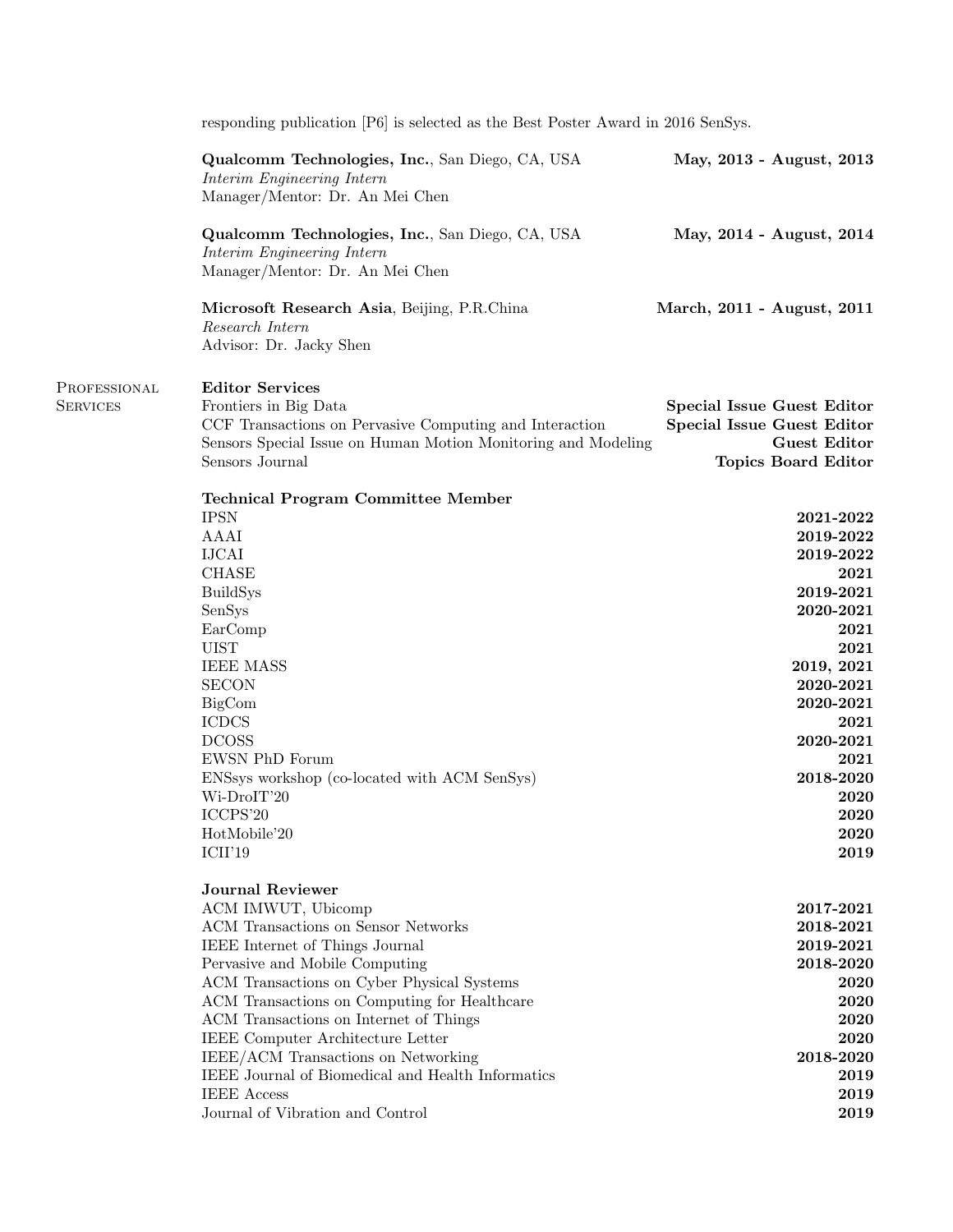|                                 | responding publication [P6] is selected as the Best Poster Award in 2016 SenSys.                                                                                                                                                                                                                                                                                                                                                                                                             |                                                                                                                                                                                                         |
|---------------------------------|----------------------------------------------------------------------------------------------------------------------------------------------------------------------------------------------------------------------------------------------------------------------------------------------------------------------------------------------------------------------------------------------------------------------------------------------------------------------------------------------|---------------------------------------------------------------------------------------------------------------------------------------------------------------------------------------------------------|
|                                 | Qualcomm Technologies, Inc., San Diego, CA, USA<br>Interim Engineering Intern<br>Manager/Mentor: Dr. An Mei Chen                                                                                                                                                                                                                                                                                                                                                                             | May, 2013 - August, 2013                                                                                                                                                                                |
|                                 | Qualcomm Technologies, Inc., San Diego, CA, USA<br>Interim Engineering Intern<br>Manager/Mentor: Dr. An Mei Chen                                                                                                                                                                                                                                                                                                                                                                             | May, 2014 - August, 2014                                                                                                                                                                                |
|                                 | Microsoft Research Asia, Beijing, P.R.China<br>Research Intern<br>Advisor: Dr. Jacky Shen                                                                                                                                                                                                                                                                                                                                                                                                    | March, 2011 - August, 2011                                                                                                                                                                              |
| PROFESSIONAL<br><b>SERVICES</b> | <b>Editor Services</b><br>Frontiers in Big Data<br>CCF Transactions on Pervasive Computing and Interaction<br>Sensors Special Issue on Human Motion Monitoring and Modeling<br>Sensors Journal                                                                                                                                                                                                                                                                                               | <b>Special Issue Guest Editor</b><br><b>Special Issue Guest Editor</b><br><b>Guest Editor</b><br><b>Topics Board Editor</b>                                                                             |
|                                 | <b>Technical Program Committee Member</b><br><b>IPSN</b><br>AAAI<br><b>IJCAI</b><br><b>CHASE</b><br><b>BuildSys</b><br>SenSys<br>EarComp<br><b>UIST</b><br><b>IEEE MASS</b><br><b>SECON</b><br>BigCom<br><b>ICDCS</b><br><b>DCOSS</b><br>EWSN PhD Forum<br>ENSsys workshop (co-located with ACM SenSys)<br>Wi-DroIT'20<br>ICCPS'20<br>HotMobile'20<br>ICII'19                                                                                                                                | 2021-2022<br>2019-2022<br>2019-2022<br>2021<br>2019-2021<br>2020-2021<br>2021<br>2021<br>2019, 2021<br>2020-2021<br>2020-2021<br>2021<br>2020-2021<br>2021<br>2018-2020<br>2020<br>2020<br>2020<br>2019 |
|                                 | <b>Journal Reviewer</b><br>ACM IMWUT, Ubicomp<br>ACM Transactions on Sensor Networks<br>IEEE Internet of Things Journal<br>Pervasive and Mobile Computing<br>ACM Transactions on Cyber Physical Systems<br>ACM Transactions on Computing for Healthcare<br>ACM Transactions on Internet of Things<br>IEEE Computer Architecture Letter<br>IEEE/ACM Transactions on Networking<br>IEEE Journal of Biomedical and Health Informatics<br><b>IEEE</b> Access<br>Journal of Vibration and Control | 2017-2021<br>2018-2021<br>2019-2021<br>2018-2020<br>2020<br>2020<br>2020<br>2020<br>2018-2020<br>2019<br>2019<br>2019                                                                                   |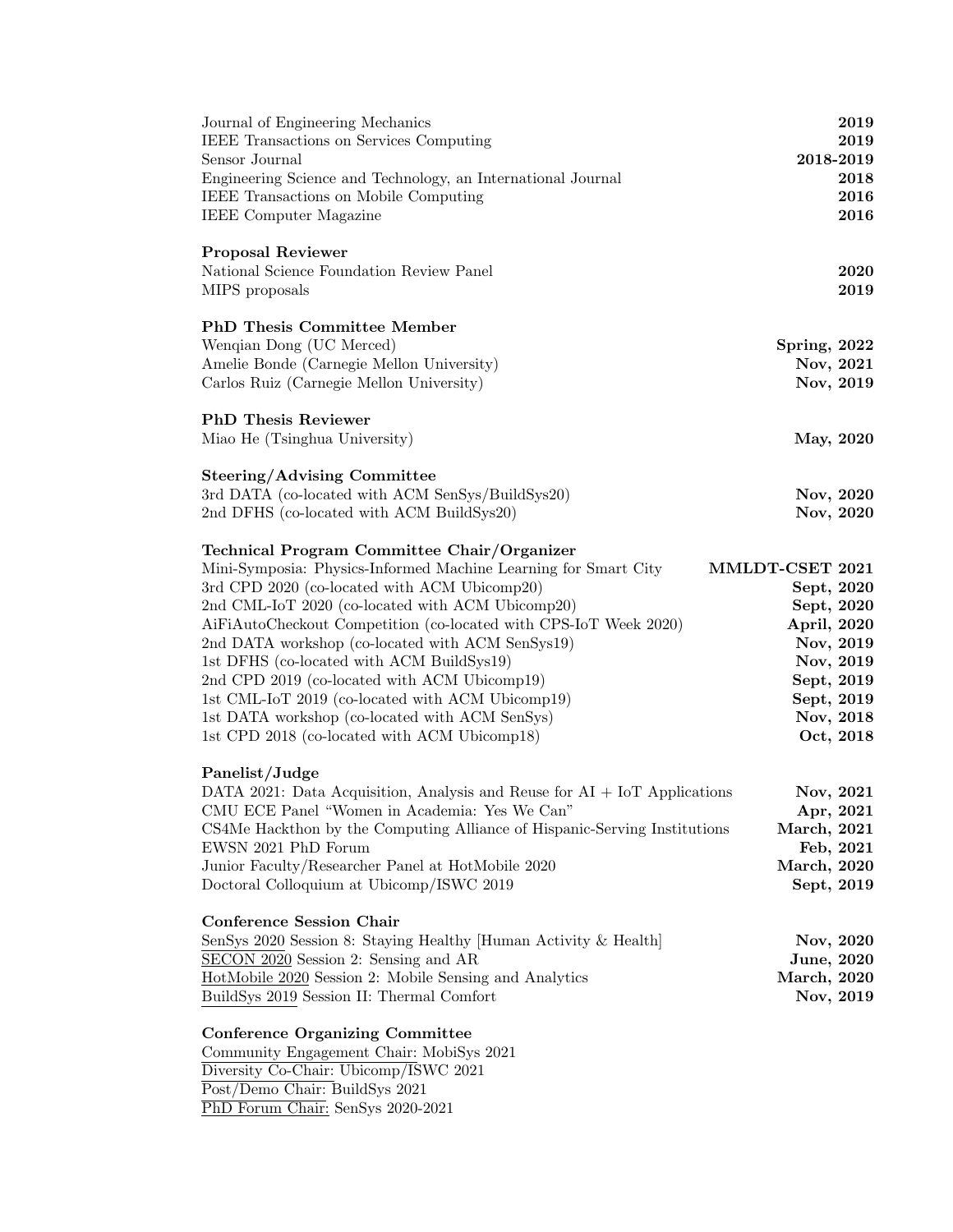| Journal of Engineering Mechanics<br>IEEE Transactions on Services Computing<br>Sensor Journal<br>Engineering Science and Technology, an International Journal<br>IEEE Transactions on Mobile Computing<br><b>IEEE</b> Computer Magazine                                                                                                                                                                                                                                                                                                                                                       | 2019<br>2019<br>2018-2019<br>2018<br>2016<br>2016                                                                                          |
|-----------------------------------------------------------------------------------------------------------------------------------------------------------------------------------------------------------------------------------------------------------------------------------------------------------------------------------------------------------------------------------------------------------------------------------------------------------------------------------------------------------------------------------------------------------------------------------------------|--------------------------------------------------------------------------------------------------------------------------------------------|
| <b>Proposal Reviewer</b><br>National Science Foundation Review Panel<br>MIPS proposals                                                                                                                                                                                                                                                                                                                                                                                                                                                                                                        | 2020<br>2019                                                                                                                               |
| <b>PhD Thesis Committee Member</b><br>Wenqian Dong (UC Merced)<br>Amelie Bonde (Carnegie Mellon University)<br>Carlos Ruiz (Carnegie Mellon University)                                                                                                                                                                                                                                                                                                                                                                                                                                       | Spring, 2022<br>Nov, 2021<br>Nov, 2019                                                                                                     |
| <b>PhD</b> Thesis Reviewer<br>Miao He (Tsinghua University)                                                                                                                                                                                                                                                                                                                                                                                                                                                                                                                                   | May, 2020                                                                                                                                  |
| <b>Steering/Advising Committee</b><br>3rd DATA (co-located with ACM SenSys/BuildSys20)<br>2nd DFHS (co-located with ACM BuildSys20)                                                                                                                                                                                                                                                                                                                                                                                                                                                           | Nov, 2020<br>Nov, 2020                                                                                                                     |
| Technical Program Committee Chair/Organizer<br>Mini-Symposia: Physics-Informed Machine Learning for Smart City<br>3rd CPD 2020 (co-located with ACM Ubicomp20)<br>2nd CML-IoT 2020 (co-located with ACM Ubicomp20)<br>AiFiAutoCheckout Competition (co-located with CPS-IoT Week 2020)<br>2nd DATA workshop (co-located with ACM SenSys19)<br>1st DFHS (co-located with ACM BuildSys19)<br>2nd CPD 2019 (co-located with ACM Ubicomp19)<br>1st CML-IoT 2019 (co-located with ACM Ubicomp19)<br>1st DATA workshop (co-located with ACM SenSys)<br>1st CPD 2018 (co-located with ACM Ubicomp18) | MMLDT-CSET 2021<br>Sept, 2020<br>Sept, 2020<br>April, 2020<br>Nov, 2019<br>Nov, 2019<br>Sept, 2019<br>Sept, 2019<br>Nov, 2018<br>Oct, 2018 |
| Panelist/Judge<br>DATA 2021: Data Acquisition, Analysis and Reuse for $AI + IoT$ Applications<br>CMU ECE Panel "Women in Academia: Yes We Can'<br>CS4Me Hackthon by the Computing Alliance of Hispanic-Serving Institutions<br>EWSN 2021 PhD Forum<br>Junior Faculty/Researcher Panel at HotMobile 2020<br>Doctoral Colloquium at Ubicomp/ISWC 2019                                                                                                                                                                                                                                           | Nov, 2021<br>Apr, 2021<br>March, 2021<br>Feb, 2021<br><b>March</b> , 2020<br>Sept, 2019                                                    |
| <b>Conference Session Chair</b><br>SenSys 2020 Session 8: Staying Healthy [Human Activity & Health]<br>SECON 2020 Session 2: Sensing and AR<br>HotMobile 2020 Session 2: Mobile Sensing and Analytics<br>BuildSys 2019 Session II: Thermal Comfort                                                                                                                                                                                                                                                                                                                                            | Nov, 2020<br>June, 2020<br><b>March</b> , 2020<br>Nov, 2019                                                                                |
| <b>Conference Organizing Committee</b><br>Community Engagement Chair: MobiSys 2021<br>Diversity Co-Chair: Ubicomp/ISWC 2021<br>Post/Demo Chair: BuildSys 2021<br>PhD Forum Chair: SenSys 2020-2021                                                                                                                                                                                                                                                                                                                                                                                            |                                                                                                                                            |